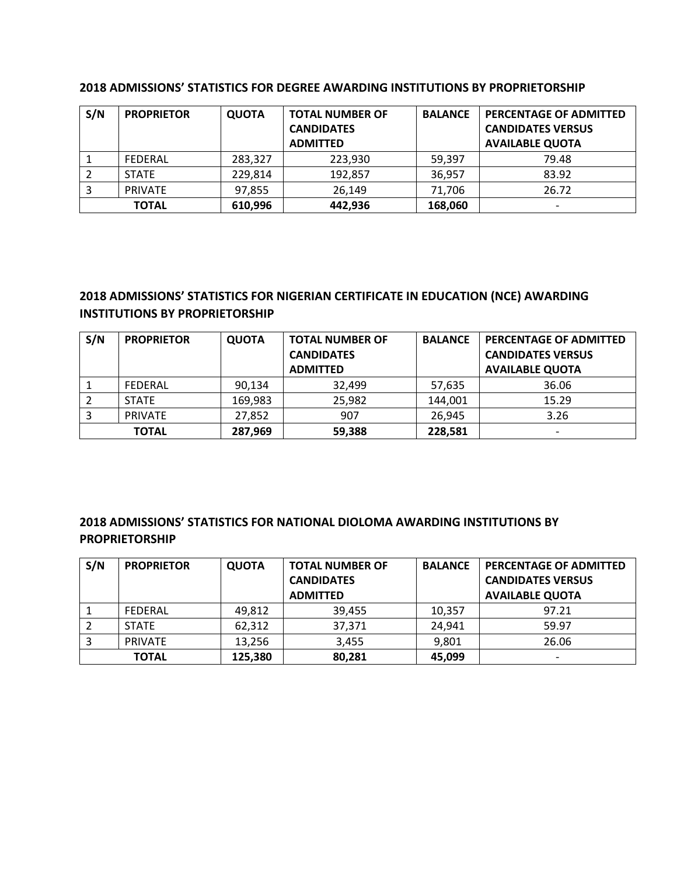| S/N          | <b>PROPRIETOR</b> | <b>QUOTA</b> | <b>TOTAL NUMBER OF</b><br><b>CANDIDATES</b><br><b>ADMITTED</b> | <b>BALANCE</b> | PERCENTAGE OF ADMITTED<br><b>CANDIDATES VERSUS</b><br><b>AVAILABLE QUOTA</b> |
|--------------|-------------------|--------------|----------------------------------------------------------------|----------------|------------------------------------------------------------------------------|
|              | FEDERAL           | 283,327      | 223,930                                                        | 59.397         | 79.48                                                                        |
|              | <b>STATE</b>      | 229,814      | 192,857                                                        | 36,957         | 83.92                                                                        |
|              | <b>PRIVATE</b>    | 97,855       | 26,149                                                         | 71,706         | 26.72                                                                        |
| <b>TOTAL</b> |                   | 610,996      | 442,936                                                        | 168,060        |                                                                              |

#### **2018 ADMISSIONS' STATISTICS FOR DEGREE AWARDING INSTITUTIONS BY PROPRIETORSHIP**

# **2018 ADMISSIONS' STATISTICS FOR NIGERIAN CERTIFICATE IN EDUCATION (NCE) AWARDING INSTITUTIONS BY PROPRIETORSHIP**

| S/N          | <b>PROPRIETOR</b> | <b>QUOTA</b> | <b>TOTAL NUMBER OF</b> | <b>BALANCE</b> | <b>PERCENTAGE OF ADMITTED</b> |
|--------------|-------------------|--------------|------------------------|----------------|-------------------------------|
|              |                   |              | <b>CANDIDATES</b>      |                | <b>CANDIDATES VERSUS</b>      |
|              |                   |              | <b>ADMITTED</b>        |                | <b>AVAILABLE QUOTA</b>        |
|              | FEDERAL           | 90.134       | 32,499                 | 57,635         | 36.06                         |
|              | <b>STATE</b>      | 169,983      | 25,982                 | 144,001        | 15.29                         |
|              | <b>PRIVATE</b>    | 27,852       | 907                    | 26,945         | 3.26                          |
| <b>TOTAL</b> |                   | 287,969      | 59,388                 | 228,581        |                               |

### **2018 ADMISSIONS' STATISTICS FOR NATIONAL DIOLOMA AWARDING INSTITUTIONS BY PROPRIETORSHIP**

| S/N | <b>PROPRIETOR</b> | <b>QUOTA</b> | <b>TOTAL NUMBER OF</b> | <b>BALANCE</b> | PERCENTAGE OF ADMITTED   |
|-----|-------------------|--------------|------------------------|----------------|--------------------------|
|     |                   |              | <b>CANDIDATES</b>      |                | <b>CANDIDATES VERSUS</b> |
|     |                   |              | <b>ADMITTED</b>        |                | <b>AVAILABLE QUOTA</b>   |
|     | FEDERAL           | 49,812       | 39.455                 | 10,357         | 97.21                    |
|     | <b>STATE</b>      | 62,312       | 37,371                 | 24,941         | 59.97                    |
|     | <b>PRIVATE</b>    | 13,256       | 3,455                  | 9,801          | 26.06                    |
|     | <b>TOTAL</b>      | 125,380      | 80,281                 | 45,099         | $\overline{\phantom{0}}$ |